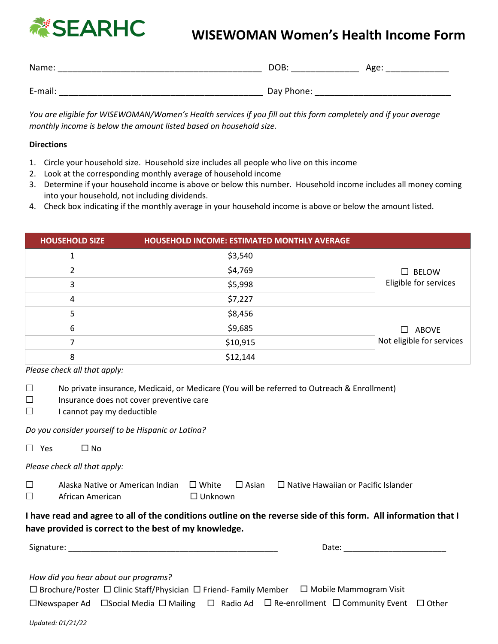

# **NISEARHC** WISEWOMAN Women's Health Income Form

| Name:   | DOB:       | Age: |
|---------|------------|------|
|         |            |      |
| E-mail: | Day Phone: |      |

*You are eligible for WISEWOMAN/Women's Health services if you fill out this form completely and if your average monthly income is below the amount listed based on household size.* 

### **Directions**

- 1. Circle your household size. Household size includes all people who live on this income
- 2. Look at the corresponding monthly average of household income
- 3. Determine if your household income is above or below this number. Household income includes all money coming into your household, not including dividends.
- 4. Check box indicating if the monthly average in your household income is above or below the amount listed.

| <b>HOUSEHOLD SIZE</b> | <b>HOUSEHOLD INCOME: ESTIMATED MONTHLY AVERAGE</b> |                           |
|-----------------------|----------------------------------------------------|---------------------------|
|                       | \$3,540                                            |                           |
| າ                     | \$4,769                                            | $\Box$ BELOW              |
| 3                     | \$5,998                                            | Eligible for services     |
| 4                     | \$7,227                                            |                           |
|                       | \$8,456                                            |                           |
| 6                     | \$9,685                                            | $\Box$ ABOVE              |
|                       | \$10,915                                           | Not eligible for services |
| 8                     | \$12,144                                           |                           |

*Please check all that apply:*

- $\Box$  No private insurance, Medicaid, or Medicare (You will be referred to Outreach & Enrollment)
- $\Box$  Insurance does not cover preventive care
- $\Box$  I cannot pay my deductible

*Do you consider yourself to be Hispanic or Latina?* 

| $\Box$ Yes | □ No |
|------------|------|
|------------|------|

*Please check all that apply:*

| Alaska Native or American Indian $\Box$ White |                | $\Box$ Asian $\Box$ Native Hawaiian or Pacific Islander |
|-----------------------------------------------|----------------|---------------------------------------------------------|
| African American                              | $\Box$ Unknown |                                                         |

## **I have read and agree to all of the conditions outline on the reverse side of this form. All information that I have provided is correct to the best of my knowledge.**

Signature: \_\_\_\_\_\_\_\_\_\_\_\_\_\_\_\_\_\_\_\_\_\_\_\_\_\_\_\_\_\_\_\_\_\_\_\_\_\_\_\_\_\_\_\_\_\_\_ Date: \_\_\_\_\_\_\_\_\_\_\_\_\_\_\_\_\_\_\_\_\_\_\_

*How did you hear about our programs?*

 $\Box$  Brochure/Poster  $\Box$  Clinic Staff/Physician  $\Box$  Friend- Family Member  $\Box$  Mobile Mammogram Visit

 $\Box$ Newspaper Ad  $\Box$  Social Media  $\Box$  Mailing  $\Box$  Radio Ad  $\Box$  Re-enrollment  $\Box$  Community Event  $\Box$  Other